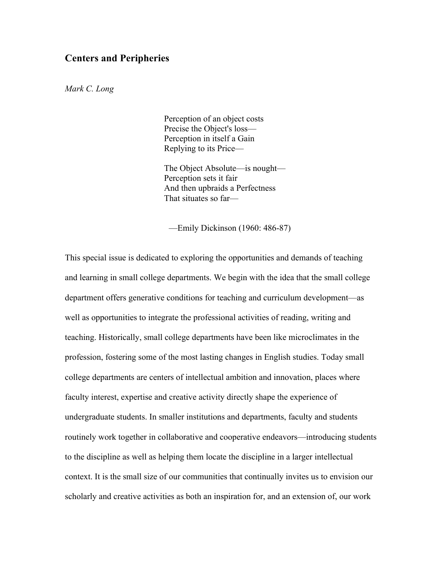# **Centers and Peripheries**

*Mark C. Long*

Perception of an object costs Precise the Object's loss— Perception in itself a Gain Replying to its Price—

The Object Absolute—is nought— Perception sets it fair And then upbraids a Perfectness That situates so far—

—Emily Dickinson (1960: 486-87)

This special issue is dedicated to exploring the opportunities and demands of teaching and learning in small college departments. We begin with the idea that the small college department offers generative conditions for teaching and curriculum development—as well as opportunities to integrate the professional activities of reading, writing and teaching. Historically, small college departments have been like microclimates in the profession, fostering some of the most lasting changes in English studies. Today small college departments are centers of intellectual ambition and innovation, places where faculty interest, expertise and creative activity directly shape the experience of undergraduate students. In smaller institutions and departments, faculty and students routinely work together in collaborative and cooperative endeavors—introducing students to the discipline as well as helping them locate the discipline in a larger intellectual context. It is the small size of our communities that continually invites us to envision our scholarly and creative activities as both an inspiration for, and an extension of, our work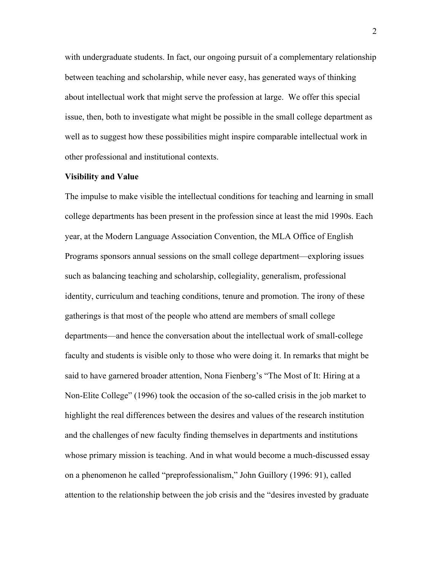with undergraduate students. In fact, our ongoing pursuit of a complementary relationship between teaching and scholarship, while never easy, has generated ways of thinking about intellectual work that might serve the profession at large. We offer this special issue, then, both to investigate what might be possible in the small college department as well as to suggest how these possibilities might inspire comparable intellectual work in other professional and institutional contexts.

#### **Visibility and Value**

The impulse to make visible the intellectual conditions for teaching and learning in small college departments has been present in the profession since at least the mid 1990s. Each year, at the Modern Language Association Convention, the MLA Office of English Programs sponsors annual sessions on the small college department—exploring issues such as balancing teaching and scholarship, collegiality, generalism, professional identity, curriculum and teaching conditions, tenure and promotion. The irony of these gatherings is that most of the people who attend are members of small college departments—and hence the conversation about the intellectual work of small-college faculty and students is visible only to those who were doing it. In remarks that might be said to have garnered broader attention, Nona Fienberg's "The Most of It: Hiring at a Non-Elite College" (1996) took the occasion of the so-called crisis in the job market to highlight the real differences between the desires and values of the research institution and the challenges of new faculty finding themselves in departments and institutions whose primary mission is teaching. And in what would become a much-discussed essay on a phenomenon he called "preprofessionalism," John Guillory (1996: 91), called attention to the relationship between the job crisis and the "desires invested by graduate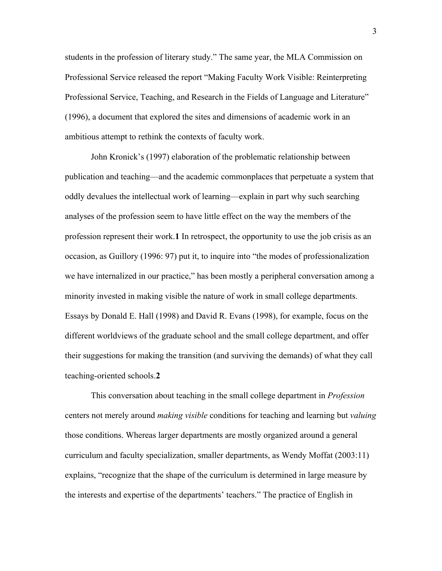students in the profession of literary study." The same year, the MLA Commission on Professional Service released the report "Making Faculty Work Visible: Reinterpreting Professional Service, Teaching, and Research in the Fields of Language and Literature" (1996), a document that explored the sites and dimensions of academic work in an ambitious attempt to rethink the contexts of faculty work.

John Kronick's (1997) elaboration of the problematic relationship between publication and teaching—and the academic commonplaces that perpetuate a system that oddly devalues the intellectual work of learning—explain in part why such searching analyses of the profession seem to have little effect on the way the members of the profession represent their work.**1** In retrospect, the opportunity to use the job crisis as an occasion, as Guillory (1996: 97) put it, to inquire into "the modes of professionalization we have internalized in our practice," has been mostly a peripheral conversation among a minority invested in making visible the nature of work in small college departments. Essays by Donald E. Hall (1998) and David R. Evans (1998), for example, focus on the different worldviews of the graduate school and the small college department, and offer their suggestions for making the transition (and surviving the demands) of what they call teaching-oriented schools.**2**

This conversation about teaching in the small college department in *Profession* centers not merely around *making visible* conditions for teaching and learning but *valuing* those conditions. Whereas larger departments are mostly organized around a general curriculum and faculty specialization, smaller departments, as Wendy Moffat (2003:11) explains, "recognize that the shape of the curriculum is determined in large measure by the interests and expertise of the departments' teachers." The practice of English in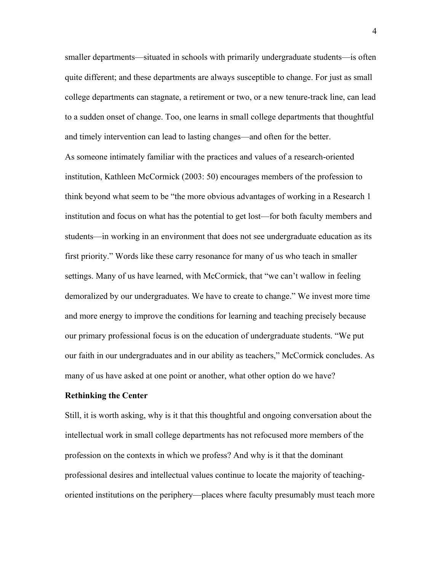smaller departments—situated in schools with primarily undergraduate students—is often quite different; and these departments are always susceptible to change. For just as small college departments can stagnate, a retirement or two, or a new tenure-track line, can lead to a sudden onset of change. Too, one learns in small college departments that thoughtful and timely intervention can lead to lasting changes—and often for the better. As someone intimately familiar with the practices and values of a research-oriented institution, Kathleen McCormick (2003: 50) encourages members of the profession to think beyond what seem to be "the more obvious advantages of working in a Research 1 institution and focus on what has the potential to get lost—for both faculty members and students—in working in an environment that does not see undergraduate education as its first priority." Words like these carry resonance for many of us who teach in smaller settings. Many of us have learned, with McCormick, that "we can't wallow in feeling demoralized by our undergraduates. We have to create to change." We invest more time and more energy to improve the conditions for learning and teaching precisely because our primary professional focus is on the education of undergraduate students. "We put our faith in our undergraduates and in our ability as teachers," McCormick concludes. As many of us have asked at one point or another, what other option do we have?

#### **Rethinking the Center**

Still, it is worth asking, why is it that this thoughtful and ongoing conversation about the intellectual work in small college departments has not refocused more members of the profession on the contexts in which we profess? And why is it that the dominant professional desires and intellectual values continue to locate the majority of teachingoriented institutions on the periphery—places where faculty presumably must teach more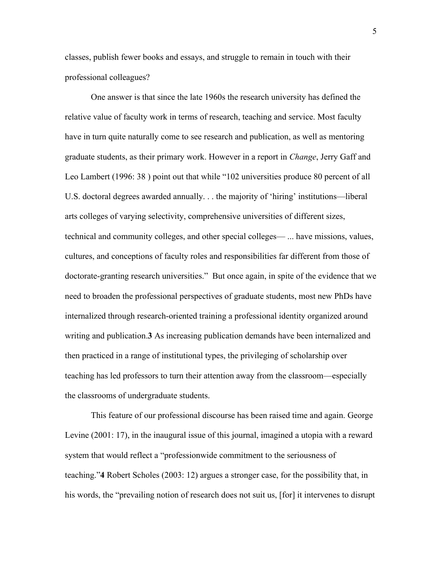classes, publish fewer books and essays, and struggle to remain in touch with their professional colleagues?

One answer is that since the late 1960s the research university has defined the relative value of faculty work in terms of research, teaching and service. Most faculty have in turn quite naturally come to see research and publication, as well as mentoring graduate students, as their primary work. However in a report in *Change*, Jerry Gaff and Leo Lambert (1996: 38 ) point out that while "102 universities produce 80 percent of all U.S. doctoral degrees awarded annually. . . the majority of 'hiring' institutions—liberal arts colleges of varying selectivity, comprehensive universities of different sizes, technical and community colleges, and other special colleges— ... have missions, values, cultures, and conceptions of faculty roles and responsibilities far different from those of doctorate-granting research universities." But once again, in spite of the evidence that we need to broaden the professional perspectives of graduate students, most new PhDs have internalized through research-oriented training a professional identity organized around writing and publication.**3** As increasing publication demands have been internalized and then practiced in a range of institutional types, the privileging of scholarship over teaching has led professors to turn their attention away from the classroom—especially the classrooms of undergraduate students.

This feature of our professional discourse has been raised time and again. George Levine (2001: 17), in the inaugural issue of this journal, imagined a utopia with a reward system that would reflect a "professionwide commitment to the seriousness of teaching."**4** Robert Scholes (2003: 12) argues a stronger case, for the possibility that, in his words, the "prevailing notion of research does not suit us, [for] it intervenes to disrupt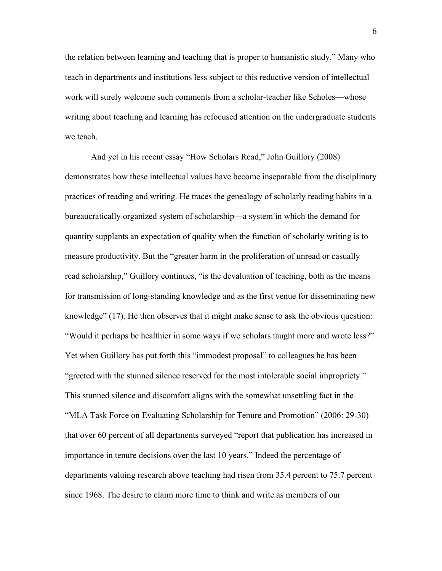the relation between learning and teaching that is proper to humanistic study." Many who teach in departments and institutions less subject to this reductive version of intellectual work will surely welcome such comments from a scholar-teacher like Scholes—whose writing about teaching and learning has refocused attention on the undergraduate students we teach.

And yet in his recent essay "How Scholars Read," John Guillory (2008) demonstrates how these intellectual values have become inseparable from the disciplinary practices of reading and writing. He traces the genealogy of scholarly reading habits in a bureaucratically organized system of scholarship—a system in which the demand for quantity supplants an expectation of quality when the function of scholarly writing is to measure productivity. But the "greater harm in the proliferation of unread or casually read scholarship," Guillory continues, "is the devaluation of teaching, both as the means for transmission of long-standing knowledge and as the first venue for disseminating new knowledge" (17). He then observes that it might make sense to ask the obvious question: "Would it perhaps be healthier in some ways if we scholars taught more and wrote less?" Yet when Guillory has put forth this "immodest proposal" to colleagues he has been "greeted with the stunned silence reserved for the most intolerable social impropriety." This stunned silence and discomfort aligns with the somewhat unsettling fact in the "MLA Task Force on Evaluating Scholarship for Tenure and Promotion" (2006: 29-30) that over 60 percent of all departments surveyed "report that publication has increased in importance in tenure decisions over the last 10 years." Indeed the percentage of departments valuing research above teaching had risen from 35.4 percent to 75.7 percent since 1968. The desire to claim more time to think and write as members of our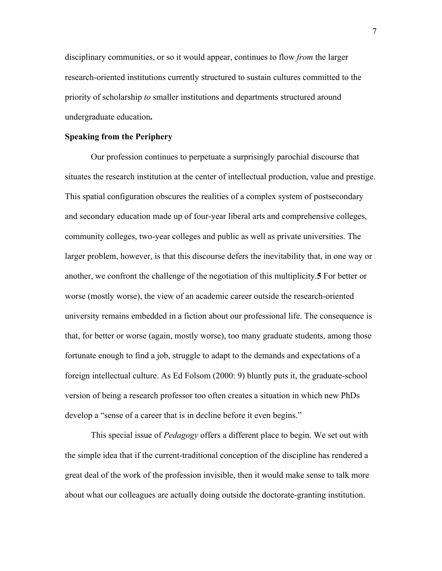disciplinary communities, or so it would appear, continues to flow *from* the larger research-oriented institutions currently structured to sustain cultures committed to the priority of scholarship *to* smaller institutions and departments structured around undergraduate education**.**

#### **Speaking from the Periphery**

Our profession continues to perpetuate a surprisingly parochial discourse that situates the research institution at the center of intellectual production, value and prestige. This spatial configuration obscures the realities of a complex system of postsecondary and secondary education made up of four-year liberal arts and comprehensive colleges, community colleges, two-year colleges and public as well as private universities. The larger problem, however, is that this discourse defers the inevitability that, in one way or another, we confront the challenge of the negotiation of this multiplicity.**5** For better or worse (mostly worse), the view of an academic career outside the research-oriented university remains embedded in a fiction about our professional life. The consequence is that, for better or worse (again, mostly worse), too many graduate students, among those fortunate enough to find a job, struggle to adapt to the demands and expectations of a foreign intellectual culture. As Ed Folsom (2000: 9) bluntly puts it, the graduate-school version of being a research professor too often creates a situation in which new PhDs develop a "sense of a career that is in decline before it even begins."

This special issue of *Pedagogy* offers a different place to begin. We set out with the simple idea that if the current-traditional conception of the discipline has rendered a great deal of the work of the profession invisible, then it would make sense to talk more about what our colleagues are actually doing outside the doctorate-granting institution.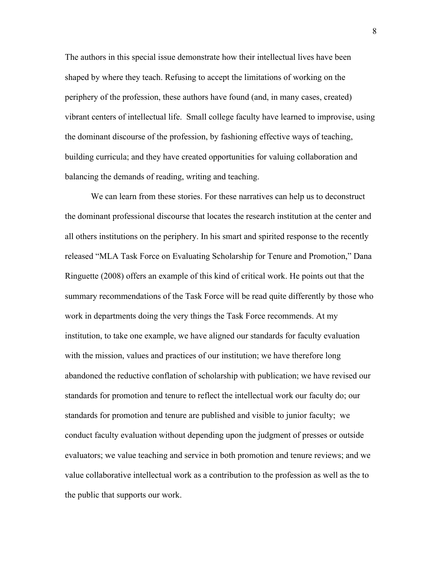The authors in this special issue demonstrate how their intellectual lives have been shaped by where they teach. Refusing to accept the limitations of working on the periphery of the profession, these authors have found (and, in many cases, created) vibrant centers of intellectual life. Small college faculty have learned to improvise, using the dominant discourse of the profession, by fashioning effective ways of teaching, building curricula; and they have created opportunities for valuing collaboration and balancing the demands of reading, writing and teaching.

We can learn from these stories. For these narratives can help us to deconstruct the dominant professional discourse that locates the research institution at the center and all others institutions on the periphery. In his smart and spirited response to the recently released "MLA Task Force on Evaluating Scholarship for Tenure and Promotion," Dana Ringuette (2008) offers an example of this kind of critical work. He points out that the summary recommendations of the Task Force will be read quite differently by those who work in departments doing the very things the Task Force recommends. At my institution, to take one example, we have aligned our standards for faculty evaluation with the mission, values and practices of our institution; we have therefore long abandoned the reductive conflation of scholarship with publication; we have revised our standards for promotion and tenure to reflect the intellectual work our faculty do; our standards for promotion and tenure are published and visible to junior faculty; we conduct faculty evaluation without depending upon the judgment of presses or outside evaluators; we value teaching and service in both promotion and tenure reviews; and we value collaborative intellectual work as a contribution to the profession as well as the to the public that supports our work.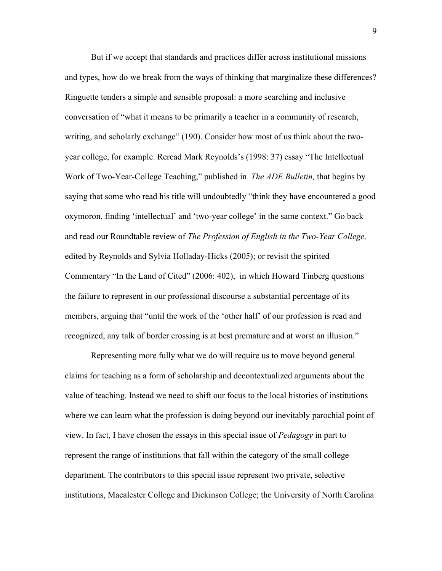But if we accept that standards and practices differ across institutional missions and types, how do we break from the ways of thinking that marginalize these differences? Ringuette tenders a simple and sensible proposal: a more searching and inclusive conversation of "what it means to be primarily a teacher in a community of research, writing, and scholarly exchange" (190). Consider how most of us think about the twoyear college, for example. Reread Mark Reynolds's (1998: 37) essay "The Intellectual Work of Two-Year-College Teaching," published in *The ADE Bulletin,* that begins by saying that some who read his title will undoubtedly "think they have encountered a good oxymoron, finding 'intellectual' and 'two-year college' in the same context." Go back and read our Roundtable review of *The Profession of English in the Two-Year College,*  edited by Reynolds and Sylvia Holladay-Hicks (2005); or revisit the spirited Commentary "In the Land of Cited" (2006: 402), in which Howard Tinberg questions the failure to represent in our professional discourse a substantial percentage of its members, arguing that "until the work of the 'other half' of our profession is read and recognized, any talk of border crossing is at best premature and at worst an illusion."

Representing more fully what we do will require us to move beyond general claims for teaching as a form of scholarship and decontextualized arguments about the value of teaching. Instead we need to shift our focus to the local histories of institutions where we can learn what the profession is doing beyond our inevitably parochial point of view. In fact, I have chosen the essays in this special issue of *Pedagogy* in part to represent the range of institutions that fall within the category of the small college department. The contributors to this special issue represent two private, selective institutions, Macalester College and Dickinson College; the University of North Carolina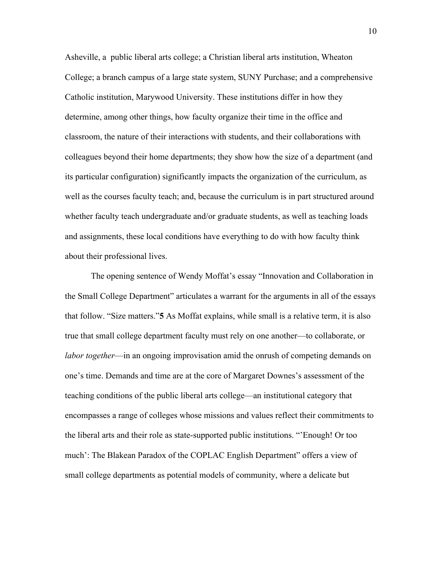Asheville, a public liberal arts college; a Christian liberal arts institution, Wheaton College; a branch campus of a large state system, SUNY Purchase; and a comprehensive Catholic institution, Marywood University. These institutions differ in how they determine, among other things, how faculty organize their time in the office and classroom, the nature of their interactions with students, and their collaborations with colleagues beyond their home departments; they show how the size of a department (and its particular configuration) significantly impacts the organization of the curriculum, as well as the courses faculty teach; and, because the curriculum is in part structured around whether faculty teach undergraduate and/or graduate students, as well as teaching loads and assignments, these local conditions have everything to do with how faculty think about their professional lives.

The opening sentence of Wendy Moffat's essay "Innovation and Collaboration in the Small College Department" articulates a warrant for the arguments in all of the essays that follow. "Size matters."**5** As Moffat explains, while small is a relative term, it is also true that small college department faculty must rely on one another—to collaborate, or *labor together*—in an ongoing improvisation amid the onrush of competing demands on one's time. Demands and time are at the core of Margaret Downes's assessment of the teaching conditions of the public liberal arts college—an institutional category that encompasses a range of colleges whose missions and values reflect their commitments to the liberal arts and their role as state-supported public institutions. "'Enough! Or too much': The Blakean Paradox of the COPLAC English Department" offers a view of small college departments as potential models of community, where a delicate but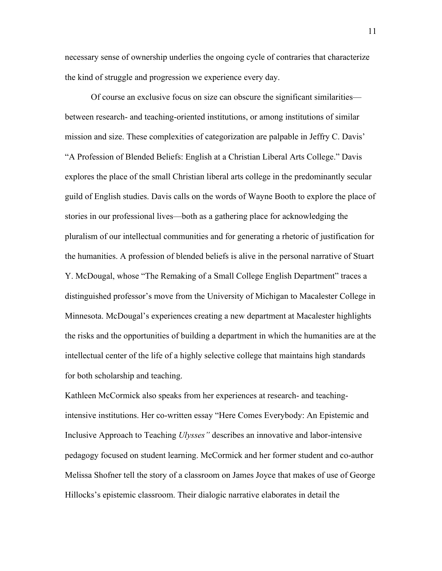necessary sense of ownership underlies the ongoing cycle of contraries that characterize the kind of struggle and progression we experience every day.

Of course an exclusive focus on size can obscure the significant similarities between research- and teaching-oriented institutions, or among institutions of similar mission and size. These complexities of categorization are palpable in Jeffry C. Davis' "A Profession of Blended Beliefs: English at a Christian Liberal Arts College." Davis explores the place of the small Christian liberal arts college in the predominantly secular guild of English studies. Davis calls on the words of Wayne Booth to explore the place of stories in our professional lives—both as a gathering place for acknowledging the pluralism of our intellectual communities and for generating a rhetoric of justification for the humanities. A profession of blended beliefs is alive in the personal narrative of Stuart Y. McDougal, whose "The Remaking of a Small College English Department" traces a distinguished professor's move from the University of Michigan to Macalester College in Minnesota. McDougal's experiences creating a new department at Macalester highlights the risks and the opportunities of building a department in which the humanities are at the intellectual center of the life of a highly selective college that maintains high standards for both scholarship and teaching.

Kathleen McCormick also speaks from her experiences at research- and teachingintensive institutions. Her co-written essay "Here Comes Everybody: An Epistemic and Inclusive Approach to Teaching *Ulysses"* describes an innovative and labor-intensive pedagogy focused on student learning. McCormick and her former student and co-author Melissa Shofner tell the story of a classroom on James Joyce that makes of use of George Hillocks's epistemic classroom. Their dialogic narrative elaborates in detail the

11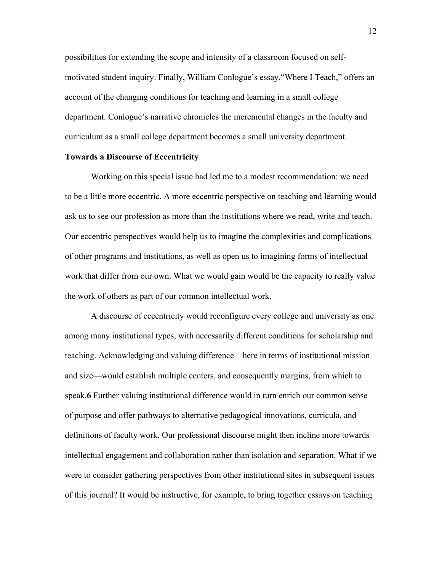possibilities for extending the scope and intensity of a classroom focused on selfmotivated student inquiry. Finally, William Conlogue's essay,"Where I Teach," offers an account of the changing conditions for teaching and learning in a small college department. Conlogue's narrative chronicles the incremental changes in the faculty and curriculum as a small college department becomes a small university department.

## **Towards a Discourse of Eccentricity**

Working on this special issue had led me to a modest recommendation: we need to be a little more eccentric. A more eccentric perspective on teaching and learning would ask us to see our profession as more than the institutions where we read, write and teach. Our eccentric perspectives would help us to imagine the complexities and complications of other programs and institutions, as well as open us to imagining forms of intellectual work that differ from our own. What we would gain would be the capacity to really value the work of others as part of our common intellectual work.

A discourse of eccentricity would reconfigure every college and university as one among many institutional types, with necessarily different conditions for scholarship and teaching. Acknowledging and valuing difference—here in terms of institutional mission and size—would establish multiple centers, and consequently margins, from which to speak.**6** Further valuing institutional difference would in turn enrich our common sense of purpose and offer pathways to alternative pedagogical innovations, curricula, and definitions of faculty work. Our professional discourse might then incline more towards intellectual engagement and collaboration rather than isolation and separation. What if we were to consider gathering perspectives from other institutional sites in subsequent issues of this journal? It would be instructive, for example, to bring together essays on teaching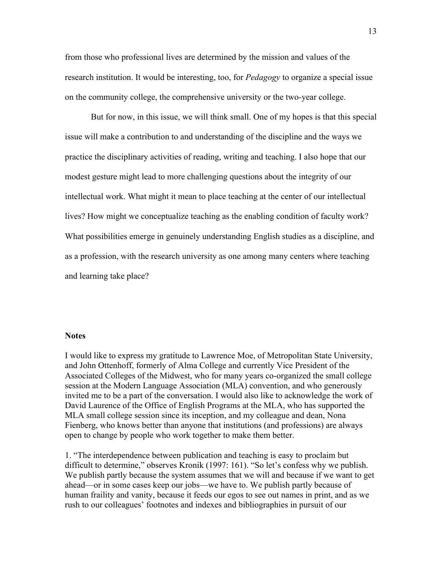from those who professional lives are determined by the mission and values of the research institution. It would be interesting, too, for *Pedagogy* to organize a special issue on the community college, the comprehensive university or the two-year college.

But for now, in this issue, we will think small. One of my hopes is that this special issue will make a contribution to and understanding of the discipline and the ways we practice the disciplinary activities of reading, writing and teaching. I also hope that our modest gesture might lead to more challenging questions about the integrity of our intellectual work. What might it mean to place teaching at the center of our intellectual lives? How might we conceptualize teaching as the enabling condition of faculty work? What possibilities emerge in genuinely understanding English studies as a discipline, and as a profession, with the research university as one among many centers where teaching and learning take place?

### **Notes**

I would like to express my gratitude to Lawrence Moe, of Metropolitan State University, and John Ottenhoff, formerly of Alma College and currently Vice President of the Associated Colleges of the Midwest, who for many years co-organized the small college session at the Modern Language Association (MLA) convention, and who generously invited me to be a part of the conversation. I would also like to acknowledge the work of David Laurence of the Office of English Programs at the MLA, who has supported the MLA small college session since its inception, and my colleague and dean, Nona Fienberg, who knows better than anyone that institutions (and professions) are always open to change by people who work together to make them better.

1. "The interdependence between publication and teaching is easy to proclaim but difficult to determine," observes Kronik (1997: 161). "So let's confess why we publish. We publish partly because the system assumes that we will and because if we want to get ahead—or in some cases keep our jobs—we have to. We publish partly because of human fraility and vanity, because it feeds our egos to see out names in print, and as we rush to our colleagues' footnotes and indexes and bibliographies in pursuit of our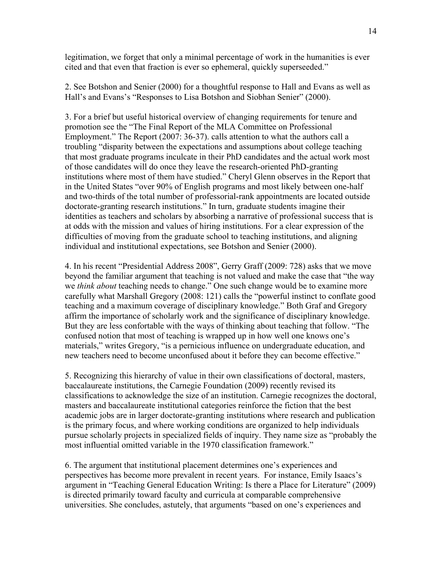legitimation, we forget that only a minimal percentage of work in the humanities is ever cited and that even that fraction is ever so ephemeral, quickly superseeded."

2. See Botshon and Senier (2000) for a thoughtful response to Hall and Evans as well as Hall's and Evans's "Responses to Lisa Botshon and Siobhan Senier" (2000).

3. For a brief but useful historical overview of changing requirements for tenure and promotion see the "The Final Report of the MLA Committee on Professional Employment." The Report (2007: 36-37). calls attention to what the authors call a troubling "disparity between the expectations and assumptions about college teaching that most graduate programs inculcate in their PhD candidates and the actual work most of those candidates will do once they leave the research-oriented PhD-granting institutions where most of them have studied." Cheryl Glenn observes in the Report that in the United States "over 90% of English programs and most likely between one-half and two-thirds of the total number of professorial-rank appointments are located outside doctorate-granting research institutions." In turn, graduate students imagine their identities as teachers and scholars by absorbing a narrative of professional success that is at odds with the mission and values of hiring institutions. For a clear expression of the difficulties of moving from the graduate school to teaching institutions, and aligning individual and institutional expectations, see Botshon and Senier (2000).

4. In his recent "Presidential Address 2008", Gerry Graff (2009: 728) asks that we move beyond the familiar argument that teaching is not valued and make the case that "the way we *think about* teaching needs to change." One such change would be to examine more carefully what Marshall Gregory (2008: 121) calls the "powerful instinct to conflate good teaching and a maximum coverage of disciplinary knowledge." Both Graf and Gregory affirm the importance of scholarly work and the significance of disciplinary knowledge. But they are less confortable with the ways of thinking about teaching that follow. "The confused notion that most of teaching is wrapped up in how well one knows one's materials," writes Gregory, "is a pernicious influence on undergraduate education, and new teachers need to become unconfused about it before they can become effective."

5. Recognizing this hierarchy of value in their own classifications of doctoral, masters, baccalaureate institutions, the Carnegie Foundation (2009) recently revised its classifications to acknowledge the size of an institution. Carnegie recognizes the doctoral, masters and baccalaureate institutional categories reinforce the fiction that the best academic jobs are in larger doctorate-granting institutions where research and publication is the primary focus, and where working conditions are organized to help individuals pursue scholarly projects in specialized fields of inquiry. They name size as "probably the most influential omitted variable in the 1970 classification framework."

6. The argument that institutional placement determines one's experiences and perspectives has become more prevalent in recent years. For instance, Emily Isaacs's argument in "Teaching General Education Writing: Is there a Place for Literature" (2009) is directed primarily toward faculty and curricula at comparable comprehensive universities. She concludes, astutely, that arguments "based on one's experiences and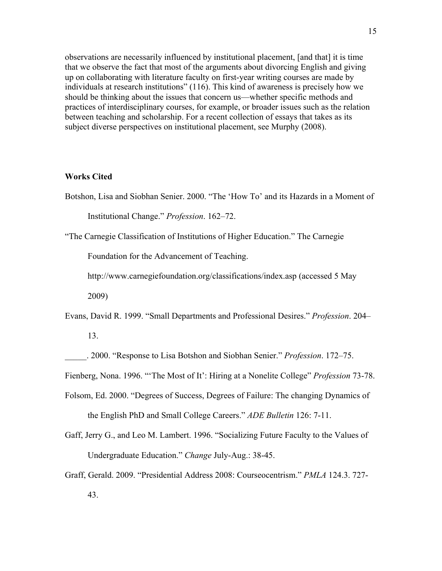observations are necessarily influenced by institutional placement, [and that] it is time that we observe the fact that most of the arguments about divorcing English and giving up on collaborating with literature faculty on first-year writing courses are made by individuals at research institutions" (116). This kind of awareness is precisely how we should be thinking about the issues that concern us—whether specific methods and practices of interdisciplinary courses, for example, or broader issues such as the relation between teaching and scholarship. For a recent collection of essays that takes as its subject diverse perspectives on institutional placement, see Murphy (2008).

## **Works Cited**

Botshon, Lisa and Siobhan Senier. 2000. "The 'How To' and its Hazards in a Moment of

Institutional Change." *Profession*. 162–72.

"The Carnegie Classification of Institutions of Higher Education." The Carnegie

Foundation for the Advancement of Teaching.

http://www.carnegiefoundation.org/classifications/index.asp (accessed 5 May

2009)

Evans, David R. 1999. "Small Departments and Professional Desires." *Profession*. 204–

13.

\_\_\_\_\_. 2000. "Response to Lisa Botshon and Siobhan Senier." *Profession*. 172–75.

Fienberg, Nona. 1996. "'The Most of It': Hiring at a Nonelite College" *Profession* 73-78.

- Folsom, Ed. 2000. "Degrees of Success, Degrees of Failure: The changing Dynamics of the English PhD and Small College Careers." *ADE Bulletin* 126: 7-11.
- Gaff, Jerry G., and Leo M. Lambert. 1996. "Socializing Future Faculty to the Values of Undergraduate Education." *Change* July-Aug.: 38-45.
- Graff, Gerald. 2009. "Presidential Address 2008: Courseocentrism." *PMLA* 124.3. 727- 43.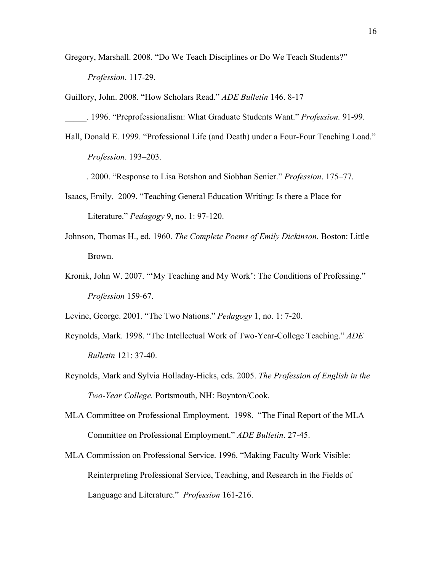- Gregory, Marshall. 2008. "Do We Teach Disciplines or Do We Teach Students?" *Profession*. 117-29.
- Guillory, John. 2008. "How Scholars Read." *ADE Bulletin* 146. 8-17
- \_\_\_\_\_. 1996. "Preprofessionalism: What Graduate Students Want." *Profession.* 91-99.
- Hall, Donald E. 1999. "Professional Life (and Death) under a Four-Four Teaching Load." *Profession*. 193–203.
- \_\_\_\_\_. 2000. "Response to Lisa Botshon and Siobhan Senier." *Profession*. 175–77.
- Isaacs, Emily. 2009. "Teaching General Education Writing: Is there a Place for Literature." *Pedagogy* 9, no. 1: 97-120.
- Johnson, Thomas H., ed. 1960. *The Complete Poems of Emily Dickinson.* Boston: Little Brown.
- Kronik, John W. 2007. "'My Teaching and My Work': The Conditions of Professing." *Profession* 159-67.
- Levine, George. 2001. "The Two Nations." *Pedagogy* 1, no. 1: 7-20.
- Reynolds, Mark. 1998. "The Intellectual Work of Two-Year-College Teaching." *ADE Bulletin* 121: 37-40.
- Reynolds, Mark and Sylvia Holladay-Hicks, eds. 2005. *The Profession of English in the Two-Year College.* Portsmouth, NH: Boynton/Cook.
- MLA Committee on Professional Employment. 1998. "The Final Report of the MLA Committee on Professional Employment." *ADE Bulletin*. 27-45.
- MLA Commission on Professional Service. 1996. "Making Faculty Work Visible: Reinterpreting Professional Service, Teaching, and Research in the Fields of Language and Literature." *Profession* 161-216.